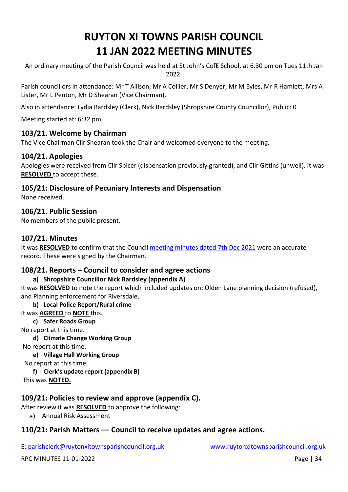# **RUYTON XI TOWNS PARISH COUNCIL 11 JAN 2022 MEETING MINUTES**

An ordinary meeting of the Parish Council was held at St John's CofE School, at 6.30 pm on Tues 11th Jan 2022.

Parish councillors in attendance: Mr T Allison, Mr A Collier, Mr S Denyer, Mr M Eyles, Mr R Hamlett, Mrs A Lister, Mr L Penton, Mr D Shearan (Vice Chairman).

Also in attendance: Lydia Bardsley (Clerk), Nick Bardsley (Shropshire County Councillor), Public: 0

Meeting started at: 6:32 pm.

# **103/21. Welcome by Chairman**

The Vice Chairman Cllr Shearan took the Chair and welcomed everyone to the meeting.

# **104/21. Apologies**

Apologies were received from Cllr Spicer (dispensation previously granted), and Cllr Gittins (unwell). It was **RESOLVED** to accept these.

# **105/21: Disclosure of Pecuniary Interests and Dispensation**

None received.

# **106/21. Public Session**

No members of the public present.

# **107/21. Minutes**

It was **RESOLVED** to confirm that the Council [meeting minutes dated 7th Dec](http://www.ruytonxitownsparishcouncil.org.uk/wp-content/uploads/2022/01/Dec-2021-minutes.pdf) 2021 were an accurate record. These were signed by the Chairman.

# **108/21. Reports – Council to consider and agree actions**

# **a) Shropshire Councillor Nick Bardsley (appendix A)**

It was **RESOLVED** to note the report which included updates on: Olden Lane planning decision (refused), and Planning enforcement for Riversdale.

#### **b) Local Police Report/Rural crime**

# It was **AGREED** to **NOTE** this.

**c) Safer Roads Group** 

No report at this time.

**d) Climate Change Working Group**

No report at this time.

# **e) Village Hall Working Group**

No report at this time.

**f) Clerk's update report (appendix B)**

This was **NOTED.**

# **109/21: Policies to review and approve (appendix C).**

After review it was **RESOLVED** to approve the following:

a) Annual Risk Assessment

# **110/21: Parish Matters –– Council to receive updates and agree actions.**

E: [parishclerk@ruytonxitownsparishcouncil.org.uk](mailto:parishclerk@ruytonxitownsparishcouncil) [www.ruytonxitownsparishcouncil.org.uk](http://www.ruytonxitownsparishcouncil.org.uk/)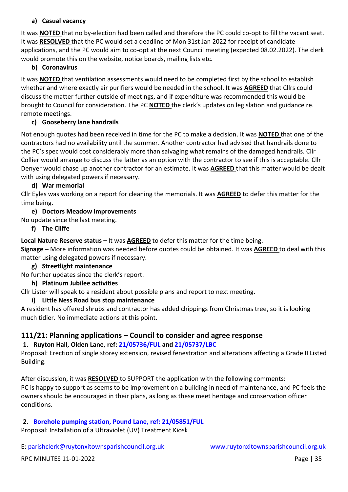#### **a) Casual vacancy**

It was **NOTED** that no by-election had been called and therefore the PC could co-opt to fill the vacant seat. It was **RESOLVED** that the PC would set a deadline of Mon 31st Jan 2022 for receipt of candidate applications, and the PC would aim to co-opt at the next Council meeting (expected 08.02.2022). The clerk would promote this on the website, notice boards, mailing lists etc.

#### **b) Coronavirus**

It was **NOTED** that ventilation assessments would need to be completed first by the school to establish whether and where exactly air purifiers would be needed in the school. It was **AGREED** that Cllrs could discuss the matter further outside of meetings, and if expenditure was recommended this would be brought to Council for consideration. The PC **NOTED** the clerk's updates on legislation and guidance re. remote meetings.

#### **c) Gooseberry lane handrails**

Not enough quotes had been received in time for the PC to make a decision. It was **NOTED** that one of the contractors had no availability until the summer. Another contractor had advised that handrails done to the PC's spec would cost considerably more than salvaging what remains of the damaged handrails. Cllr Collier would arrange to discuss the latter as an option with the contractor to see if this is acceptable. Cllr Denyer would chase up another contractor for an estimate. It was **AGREED** that this matter would be dealt with using delegated powers if necessary.

#### **d) War memorial**

Cllr Eyles was working on a report for cleaning the memorials. It was **AGREED** to defer this matter for the time being.

#### **e) Doctors Meadow improvements**

No update since the last meeting.

#### **f) The Cliffe**

**Local Nature Reserve status –** It was **AGREED** to defer this matter for the time being.

**Signage –** More information was needed before quotes could be obtained. It was **AGREED** to deal with this matter using delegated powers if necessary.

#### **g) Streetlight maintenance**

No further updates since the clerk's report.

#### **h) Platinum Jubilee activities**

Cllr Lister will speak to a resident about possible plans and report to next meeting.

#### **i) Little Ness Road bus stop maintenance**

A resident has offered shrubs and contractor has added chippings from Christmas tree, so it is looking much tidier. No immediate actions at this point.

# **111/21: Planning applications – Council to consider and agree response**

# **1. Ruyton Hall, Olden Lane, ref: [21/05736/FUL](https://pa.shropshire.gov.uk/online-applications/applicationDetails.do?activeTab=summary&keyVal=R3REBVTDK3M00) and [21/05737/LBC](https://pa.shropshire.gov.uk/online-applications/applicationDetails.do?activeTab=summary&keyVal=R3RECATDK3N00)**

Proposal: Erection of single storey extension, revised fenestration and alterations affecting a Grade II Listed Building.

After discussion, it was **RESOLVED** to SUPPORT the application with the following comments: PC is happy to support as seems to be improvement on a building in need of maintenance, and PC feels the owners should be encouraged in their plans, as long as these meet heritage and conservation officer conditions.

# **2. [Borehole pumping station, Pound Lane, ref: 21/05851/FUL](https://pa.shropshire.gov.uk/online-applications/applicationDetails.do?activeTab=summary&keyVal=R467M8TDK9X00)**

Proposal: Installation of a Ultraviolet (UV) Treatment Kiosk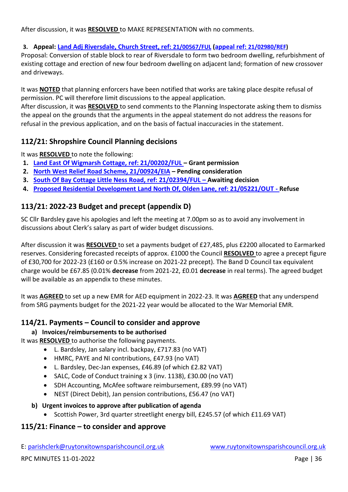After discussion, it was **RESOLVED** to MAKE REPRESENTATION with no comments.

# **3. Appeal: [Land Adj Riversdale, Church Street, ref:](https://pa.shropshire.gov.uk/online-applications/applicationDetails.do?activeTab=summary&keyVal=QNYVN9TDKGI00) [21/00567/FUL](https://pa.shropshire.gov.uk/online-applications/applicationDetails.do?activeTab=summary&keyVal=QNYVN9TDKGI00) [\(appeal ref:](https://pa.shropshire.gov.uk/online-applications/appealDetails.do?activeTab=summary&keyVal=R4ICPBTD01O00) [21/02980/REF\)](https://pa.shropshire.gov.uk/online-applications/appealDetails.do?activeTab=summary&keyVal=R4ICPBTD01O00)**

Proposal: Conversion of stable block to rear of Riversdale to form two bedroom dwelling, refurbishment of existing cottage and erection of new four bedroom dwelling on adjacent land; formation of new crossover and driveways.

It was **NOTED** that planning enforcers have been notified that works are taking place despite refusal of permission. PC will therefore limit discussions to the appeal application.

After discussion, it was **RESOLVED** to send comments to the Planning Inspectorate asking them to dismiss the appeal on the grounds that the arguments in the appeal statement do not address the reasons for refusal in the previous application, and on the basis of factual inaccuracies in the statement.

# **112/21: Shropshire Council Planning decisions**

It was **RESOLVED** to note the following:

- **1. [Land East Of Wigmarsh Cottage, ref: 21/00202/FUL](https://pa.shropshire.gov.uk/online-applications/applicationDetails.do?activeTab=summary&keyVal=QMXU6TTDJXW00) – Grant permission**
- **2. [North West Relief Road Scheme, 21/00924/EIA](https://pa.shropshire.gov.uk/online-applications/applicationDetails.do?activeTab=summary&keyVal=QOXI5QTD06Z00) – Pending consideration**
- **3. [South Of Bay Cottage Little Ness Road, ref: 21/02394/FUL](https://pa.shropshire.gov.uk/online-applications/applicationDetails.do?activeTab=summary&keyVal=QSWEBQTD06Z00) – Awaiting decision**
- **4. [Proposed Residential Development Land North Of, Olden Lane, ref: 21/05221/OUT](https://pa.shropshire.gov.uk/online-applications/applicationDetails.do?activeTab=summary&keyVal=R1YKV5TDJCA00) - Refuse**

# **113/21: 2022-23 Budget and precept (appendix D)**

SC Cllr Bardsley gave his apologies and left the meeting at 7.00pm so as to avoid any involvement in discussions about Clerk's salary as part of wider budget discussions.

After discussion it was **RESOLVED** to set a payments budget of £27,485, plus £2200 allocated to Earmarked reserves. Considering forecasted receipts of approx. £1000 the Council **RESOLVED** to agree a precept figure of £30,700 for 2022-23 (£160 or 0.5% increase on 2021-22 precept). The Band D Council tax equivalent charge would be £67.85 (0.01% **decrease** from 2021-22, £0.01 **decrease** in real terms). The agreed budget will be available as an appendix to these minutes.

It was **AGREED** to set up a new EMR for AED equipment in 2022-23. It was **AGREED** that any underspend from SRG payments budget for the 2021-22 year would be allocated to the War Memorial EMR.

# **114/21. Payments – Council to consider and approve**

# **a) Invoices/reimbursements to be authorised**

It was **RESOLVED** to authorise the following payments.

- L. Bardsley, Jan salary incl. backpay, £717.83 (no VAT)
- HMRC, PAYE and NI contributions, £47.93 (no VAT)
- L. Bardsley, Dec-Jan expenses, £46.89 (of which £2.82 VAT)
- SALC, Code of Conduct training x 3 (inv. 1138), £30.00 (no VAT)
- SDH Accounting, McAfee software reimbursement, £89.99 (no VAT)
- NEST (Direct Debit), Jan pension contributions, £56.47 (no VAT)

#### **b) Urgent invoices to approve after publication of agenda**

• Scottish Power, 3rd quarter streetlight energy bill, £245.57 (of which £11.69 VAT)

# **115/21: Finance – to consider and approve**

E: [parishclerk@ruytonxitownsparishcouncil.org.uk](mailto:parishclerk@ruytonxitownsparishcouncil) [www.ruytonxitownsparishcouncil.org.uk](http://www.ruytonxitownsparishcouncil.org.uk/)

RPC MINUTES 11-01-2022 **Page 1** 36